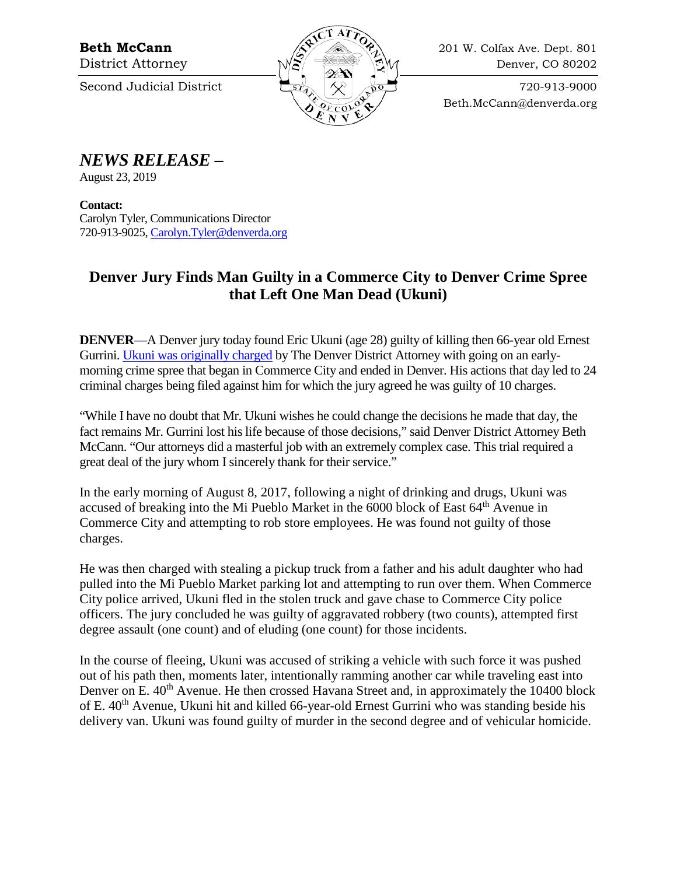

Beth.McCann@denverda.org

## *NEWS RELEASE* **–**

August 23, 2019

**Contact:**  Carolyn Tyler, Communications Director 720-913-9025[, Carolyn.Tyler@denverda.org](mailto:Carolyn.Tyler@denverda.org)

## **Denver Jury Finds Man Guilty in a Commerce City to Denver Crime Spree that Left One Man Dead (Ukuni)**

**DENVER**—A Denver jury today found Eric Ukuni (age 28) guilty of killing then 66-year old Ernest Gurrini. [Ukuni was originally charged](https://www.denverda.org/wp-content/uploads/news-release/2017/Eric-Ukuni-Charges.pdf) by The Denver District Attorney with going on an earlymorning crime spree that began in Commerce City and ended in Denver. His actions that day led to 24 criminal charges being filed against him for which the jury agreed he was guilty of 10 charges.

"While I have no doubt that Mr. Ukuni wishes he could change the decisions he made that day, the fact remains Mr. Gurrini lost his life because of those decisions," said Denver District Attorney Beth McCann. "Our attorneys did a masterful job with an extremely complex case. This trial required a great deal of the jury whom I sincerely thank for their service."

In the early morning of August 8, 2017, following a night of drinking and drugs, Ukuni was accused of breaking into the Mi Pueblo Market in the 6000 block of East 64<sup>th</sup> Avenue in Commerce City and attempting to rob store employees. He was found not guilty of those charges.

He was then charged with stealing a pickup truck from a father and his adult daughter who had pulled into the Mi Pueblo Market parking lot and attempting to run over them. When Commerce City police arrived, Ukuni fled in the stolen truck and gave chase to Commerce City police officers. The jury concluded he was guilty of aggravated robbery (two counts), attempted first degree assault (one count) and of eluding (one count) for those incidents.

In the course of fleeing, Ukuni was accused of striking a vehicle with such force it was pushed out of his path then, moments later, intentionally ramming another car while traveling east into Denver on E. 40<sup>th</sup> Avenue. He then crossed Havana Street and, in approximately the 10400 block of E. 40<sup>th</sup> Avenue, Ukuni hit and killed 66-year-old Ernest Gurrini who was standing beside his delivery van. Ukuni was found guilty of murder in the second degree and of vehicular homicide.